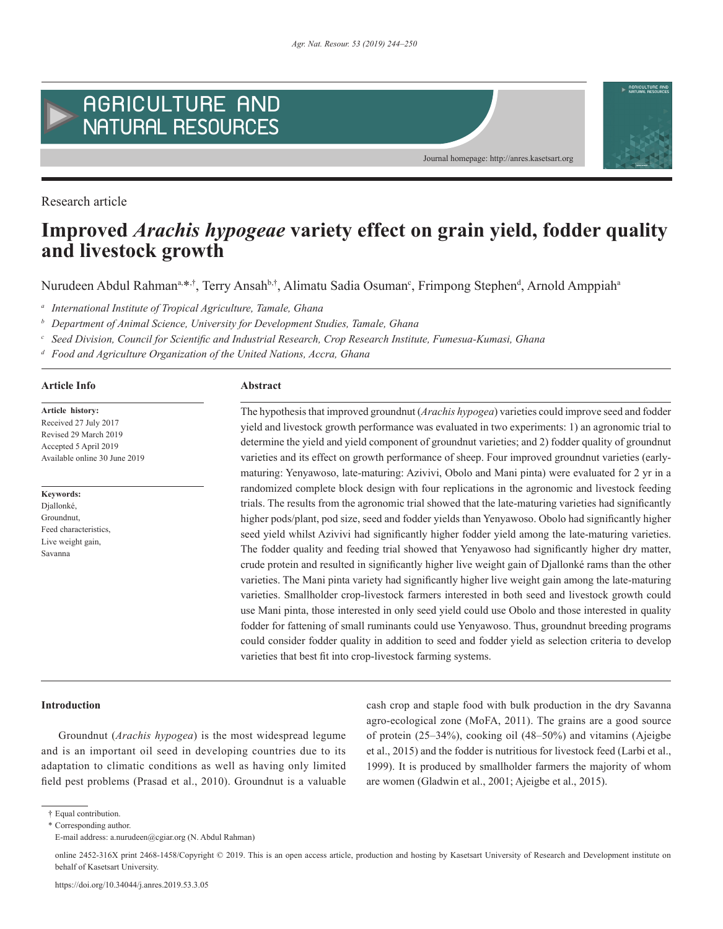

Research article

# **Improved** *Arachis hypogeae* **variety effect on grain yield, fodder quality and livestock growth**

Nurudeen Abdul Rahman<sup>a, $*,$ †</sup>, Terry Ansahb,†, Alimatu Sadia Osuman<sup>c</sup>, Frimpong Stephen<sup>d</sup>, Arnold Amppiah<sup>a</sup>

*<sup>a</sup> International Institute of Tropical Agriculture, Tamale, Ghana* 

*<sup>b</sup> Department of Animal Science, University for Development Studies, Tamale, Ghana*

*<sup>c</sup> Seed Division, Council for Scientific and Industrial Research, Crop Research Institute, Fumesua-Kumasi, Ghana*

*<sup>d</sup> Food and Agriculture Organization of the United Nations, Accra, Ghana*

# **Article Info Abstract**

**Article history:** Received 27 July 2017 Revised 29 March 2019 Accepted 5 April 2019 Available online 30 June 2019

**Keywords:** Djallonké, Groundnut,

Feed characteristics, Live weight gain, Savanna

The hypothesis that improved groundnut (*Arachis hypogea*) varieties could improve seed and fodder yield and livestock growth performance was evaluated in two experiments: 1) an agronomic trial to determine the yield and yield component of groundnut varieties; and 2) fodder quality of groundnut varieties and its effect on growth performance of sheep. Four improved groundnut varieties (earlymaturing: Yenyawoso, late-maturing: Azivivi, Obolo and Mani pinta) were evaluated for 2 yr in a randomized complete block design with four replications in the agronomic and livestock feeding trials. The results from the agronomic trial showed that the late-maturing varieties had significantly higher pods/plant, pod size, seed and fodder yields than Yenyawoso. Obolo had significantly higher seed yield whilst Azivivi had significantly higher fodder yield among the late-maturing varieties. The fodder quality and feeding trial showed that Yenyawoso had significantly higher dry matter, crude protein and resulted in significantly higher live weight gain of Djallonké rams than the other varieties. The Mani pinta variety had significantly higher live weight gain among the late-maturing varieties. Smallholder crop-livestock farmers interested in both seed and livestock growth could use Mani pinta, those interested in only seed yield could use Obolo and those interested in quality fodder for fattening of small ruminants could use Yenyawoso. Thus, groundnut breeding programs could consider fodder quality in addition to seed and fodder yield as selection criteria to develop varieties that best fit into crop-livestock farming systems.

Journal homepage: http://anres.kasetsart.org

#### **Introduction**

Groundnut (*Arachis hypogea*) is the most widespread legume and is an important oil seed in developing countries due to its adaptation to climatic conditions as well as having only limited field pest problems (Prasad et al., 2010). Groundnut is a valuable cash crop and staple food with bulk production in the dry Savanna agro-ecological zone (MoFA, 2011). The grains are a good source of protein (25–34%), cooking oil (48–50%) and vitamins (Ajeigbe et al., 2015) and the fodder is nutritious for livestock feed (Larbi et al., 1999). It is produced by smallholder farmers the majority of whom are women (Gladwin et al., 2001; Ajeigbe et al., 2015).

<sup>†</sup> Equal contribution.

<sup>\*</sup> Corresponding author.

E-mail address: a.nurudeen@cgiar.org (N. Abdul Rahman)

online 2452-316X print 2468-1458/Copyright © 2019. This is an open access article, production and hosting by Kasetsart University of Research and Development institute on behalf of Kasetsart University.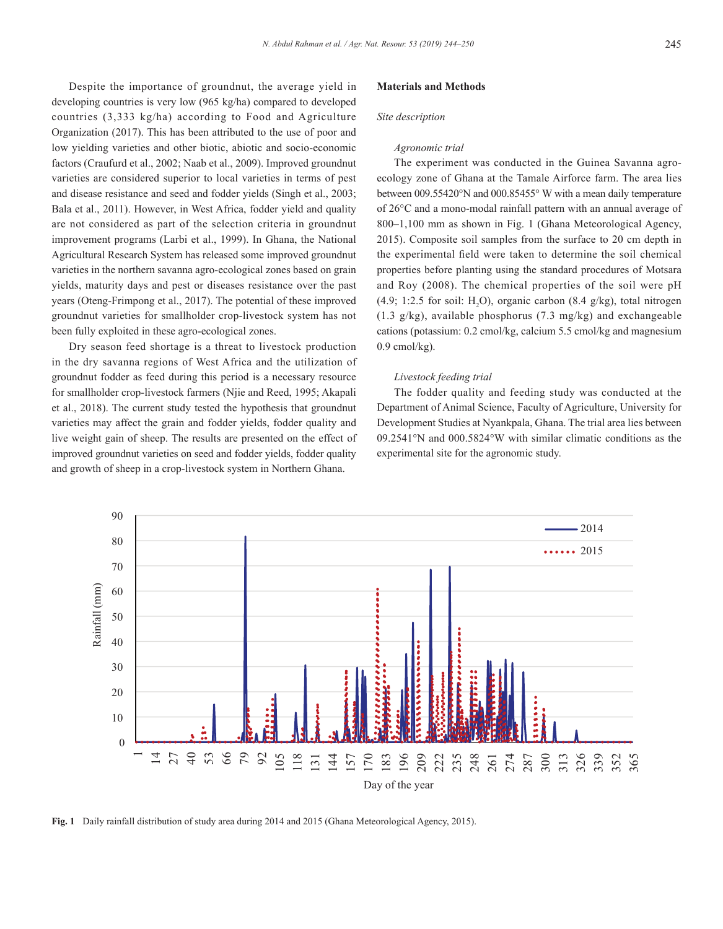Despite the importance of groundnut, the average yield in developing countries is very low (965 kg/ha) compared to developed countries (3,333 kg/ha) according to Food and Agriculture Organization (2017). This has been attributed to the use of poor and low yielding varieties and other biotic, abiotic and socio-economic factors (Craufurd et al., 2002; Naab et al., 2009). Improved groundnut varieties are considered superior to local varieties in terms of pest and disease resistance and seed and fodder yields (Singh et al., 2003; Bala et al., 2011). However, in West Africa, fodder yield and quality are not considered as part of the selection criteria in groundnut improvement programs (Larbi et al., 1999). In Ghana, the National Agricultural Research System has released some improved groundnut varieties in the northern savanna agro-ecological zones based on grain yields, maturity days and pest or diseases resistance over the past years (Oteng-Frimpong et al., 2017). The potential of these improved groundnut varieties for smallholder crop-livestock system has not been fully exploited in these agro-ecological zones.

Dry season feed shortage is a threat to livestock production in the dry savanna regions of West Africa and the utilization of groundnut fodder as feed during this period is a necessary resource for smallholder crop-livestock farmers (Njie and Reed, 1995; Akapali et al., 2018). The current study tested the hypothesis that groundnut varieties may affect the grain and fodder yields, fodder quality and live weight gain of sheep. The results are presented on the effect of improved groundnut varieties on seed and fodder yields, fodder quality and growth of sheep in a crop-livestock system in Northern Ghana.

#### **Materials and Methods**

# *Site description*

# *Agronomic trial*

The experiment was conducted in the Guinea Savanna agroecology zone of Ghana at the Tamale Airforce farm. The area lies between 009.55420°N and 000.85455° W with a mean daily temperature of 26°C and a mono-modal rainfall pattern with an annual average of 800–1,100 mm as shown in Fig. 1 (Ghana Meteorological Agency, 2015). Composite soil samples from the surface to 20 cm depth in the experimental field were taken to determine the soil chemical properties before planting using the standard procedures of Motsara and Roy (2008). The chemical properties of the soil were pH  $(4.9; 1:2.5$  for soil: H<sub>2</sub>O), organic carbon  $(8.4 \text{ g/kg})$ , total nitrogen (1.3 g/kg), available phosphorus (7.3 mg/kg) and exchangeable cations (potassium: 0.2 cmol/kg, calcium 5.5 cmol/kg and magnesium  $0.9$  cmol/kg).

### *Livestock feeding trial*

The fodder quality and feeding study was conducted at the Department of Animal Science, Faculty of Agriculture, University for Development Studies at Nyankpala, Ghana. The trial area lies between 09.2541°N and 000.5824°W with similar climatic conditions as the experimental site for the agronomic study.



**Fig. 1** Daily rainfall distribution of study area during 2014 and 2015 (Ghana Meteorological Agency, 2015).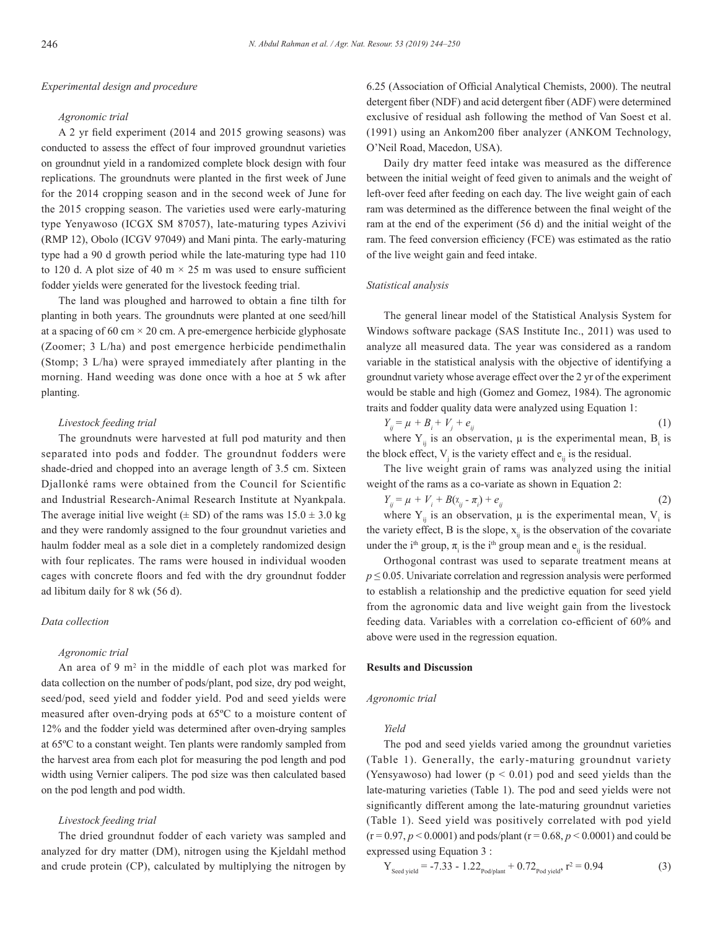# *Experimental design and procedure*

#### *Agronomic trial*

A 2 yr field experiment (2014 and 2015 growing seasons) was conducted to assess the effect of four improved groundnut varieties on groundnut yield in a randomized complete block design with four replications. The groundnuts were planted in the first week of June for the 2014 cropping season and in the second week of June for the 2015 cropping season. The varieties used were early-maturing type Yenyawoso (ICGX SM 87057), late-maturing types Azivivi (RMP 12), Obolo (ICGV 97049) and Mani pinta. The early-maturing type had a 90 d growth period while the late-maturing type had 110 to 120 d. A plot size of 40 m  $\times$  25 m was used to ensure sufficient fodder yields were generated for the livestock feeding trial.

The land was ploughed and harrowed to obtain a fine tilth for planting in both years. The groundnuts were planted at one seed/hill at a spacing of 60 cm  $\times$  20 cm. A pre-emergence herbicide glyphosate (Zoomer; 3 L/ha) and post emergence herbicide pendimethalin (Stomp; 3 L/ha) were sprayed immediately after planting in the morning. Hand weeding was done once with a hoe at 5 wk after planting.

# *Livestock feeding trial*

The groundnuts were harvested at full pod maturity and then separated into pods and fodder. The groundnut fodders were shade-dried and chopped into an average length of 3.5 cm. Sixteen Djallonké rams were obtained from the Council for Scientific and Industrial Research-Animal Research Institute at Nyankpala. The average initial live weight ( $\pm$  SD) of the rams was  $15.0 \pm 3.0$  kg and they were randomly assigned to the four groundnut varieties and haulm fodder meal as a sole diet in a completely randomized design with four replicates. The rams were housed in individual wooden cages with concrete floors and fed with the dry groundnut fodder ad libitum daily for 8 wk (56 d).

# *Data collection*

## *Agronomic trial*

An area of 9  $m<sup>2</sup>$  in the middle of each plot was marked for data collection on the number of pods/plant, pod size, dry pod weight, seed/pod, seed yield and fodder yield. Pod and seed yields were measured after oven-drying pods at 65ºC to a moisture content of 12% and the fodder yield was determined after oven-drying samples at 65ºC to a constant weight. Ten plants were randomly sampled from the harvest area from each plot for measuring the pod length and pod width using Vernier calipers. The pod size was then calculated based on the pod length and pod width.

# *Livestock feeding trial*

The dried groundnut fodder of each variety was sampled and analyzed for dry matter (DM), nitrogen using the Kjeldahl method and crude protein (CP), calculated by multiplying the nitrogen by 6.25 (Association of Official Analytical Chemists, 2000). The neutral detergent fiber (NDF) and acid detergent fiber (ADF) were determined exclusive of residual ash following the method of Van Soest et al. (1991) using an Ankom200 fiber analyzer (ANKOM Technology, O'Neil Road, Macedon, USA).

Daily dry matter feed intake was measured as the difference between the initial weight of feed given to animals and the weight of left-over feed after feeding on each day. The live weight gain of each ram was determined as the difference between the final weight of the ram at the end of the experiment (56 d) and the initial weight of the ram. The feed conversion efficiency (FCE) was estimated as the ratio of the live weight gain and feed intake.

# *Statistical analysis*

The general linear model of the Statistical Analysis System for Windows software package (SAS Institute Inc., 2011) was used to analyze all measured data. The year was considered as a random variable in the statistical analysis with the objective of identifying a groundnut variety whose average effect over the 2 yr of the experiment would be stable and high (Gomez and Gomez, 1984). The agronomic traits and fodder quality data were analyzed using Equation 1:

 $Y_{ii} = \mu + B_i + V_i + e_{ii}$  $+ e_{ij}$  (1)

where  $Y_{ij}$  is an observation,  $\mu$  is the experimental mean,  $B_i$  is the block effect,  $V_j$  is the variety effect and  $e_{ij}$  is the residual.

The live weight grain of rams was analyzed using the initial weight of the rams as a co-variate as shown in Equation 2:

$$
Y_{ij} = \mu + V_i + B(x_{ij} - \pi_i) + e_{ij}
$$
 (2)

where  $Y_{ij}$  is an observation,  $\mu$  is the experimental mean,  $V_i$  is the variety effect, B is the slope,  $x_{ij}$  is the observation of the covariate under the i<sup>th</sup> group,  $\pi$ <sub>i</sub> is the i<sup>th</sup> group mean and  $e$ <sub>ij</sub> is the residual.

Orthogonal contrast was used to separate treatment means at  $p \le 0.05$ . Univariate correlation and regression analysis were performed to establish a relationship and the predictive equation for seed yield from the agronomic data and live weight gain from the livestock feeding data. Variables with a correlation co-efficient of 60% and above were used in the regression equation.

#### **Results and Discussion**

#### *Agronomic trial*

# *Yield*

The pod and seed yields varied among the groundnut varieties (Table 1). Generally, the early-maturing groundnut variety (Yensyawoso) had lower ( $p < 0.01$ ) pod and seed yields than the late-maturing varieties (Table 1). The pod and seed yields were not significantly different among the late-maturing groundnut varieties (Table 1). Seed yield was positively correlated with pod yield  $(r = 0.97, p \le 0.0001)$  and pods/plant  $(r = 0.68, p \le 0.0001)$  and could be expressed using Equation 3 :

$$
Y_{\text{Seed yield}} = -7.33 - 1.22_{\text{Pod/plant}} + 0.72_{\text{Pod yield}}, r^2 = 0.94
$$
 (3)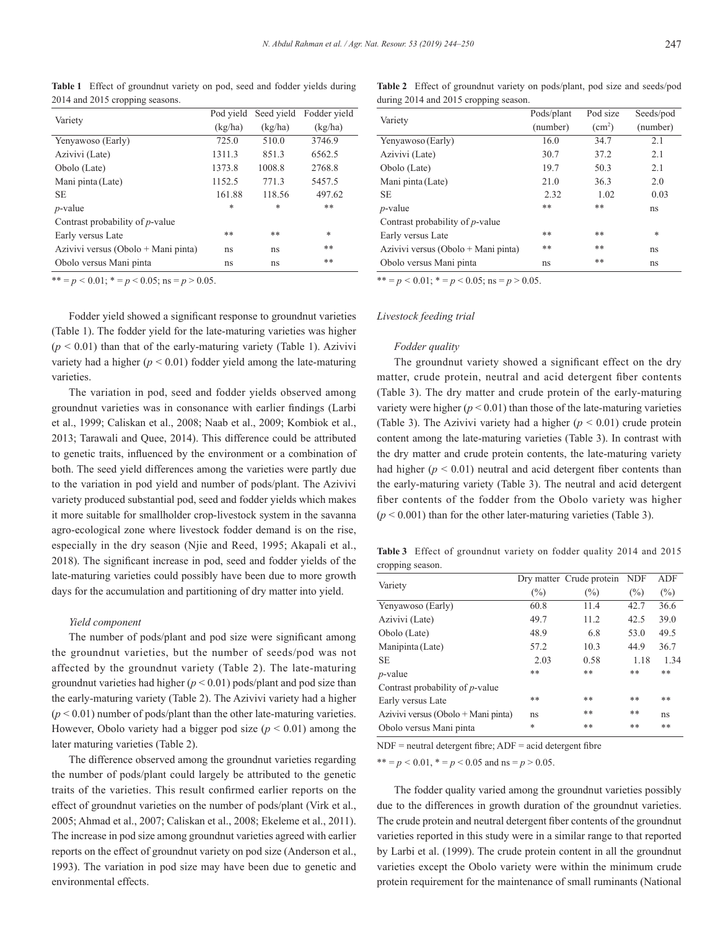**Table 1** Effect of groundnut variety on pod, seed and fodder yields during 2014 and 2015 cropping seasons.

| Variety                                 | Pod vield | Seed yield | Fodder yield |
|-----------------------------------------|-----------|------------|--------------|
|                                         | (kg/ha)   | (kg/ha)    | (kg/ha)      |
| Yenyawoso (Early)                       | 725.0     | 510.0      | 3746.9       |
| Azivivi (Late)                          | 1311.3    | 851.3      | 6562.5       |
| Obolo (Late)                            | 1373.8    | 1008.8     | 2768.8       |
| Mani pinta (Late)                       | 1152.5    | 771.3      | 5457.5       |
| SE                                      | 161.88    | 118.56     | 497.62       |
| $p$ -value                              | $\ast$    | $\ast$     | **           |
| Contrast probability of <i>p</i> -value |           |            |              |
| Early versus Late                       | **        | **         | $\ast$       |
| Azivivi versus (Obolo + Mani pinta)     | ns        | ns         | **           |
| Obolo versus Mani pinta                 | ns        | ns         | **           |

 $** = p < 0.01$ ;  $* = p < 0.05$ ; ns =  $p > 0.05$ .

Fodder yield showed a significant response to groundnut varieties (Table 1). The fodder yield for the late-maturing varieties was higher  $(p < 0.01)$  than that of the early-maturing variety (Table 1). Azivivi variety had a higher  $(p < 0.01)$  fodder yield among the late-maturing varieties.

The variation in pod, seed and fodder yields observed among groundnut varieties was in consonance with earlier findings (Larbi et al., 1999; Caliskan et al., 2008; Naab et al., 2009; Kombiok et al., 2013; Tarawali and Quee, 2014). This difference could be attributed to genetic traits, influenced by the environment or a combination of both. The seed yield differences among the varieties were partly due to the variation in pod yield and number of pods/plant. The Azivivi variety produced substantial pod, seed and fodder yields which makes it more suitable for smallholder crop-livestock system in the savanna agro-ecological zone where livestock fodder demand is on the rise, especially in the dry season (Njie and Reed, 1995; Akapali et al., 2018). The significant increase in pod, seed and fodder yields of the late-maturing varieties could possibly have been due to more growth days for the accumulation and partitioning of dry matter into yield.

## *Yield component*

The number of pods/plant and pod size were significant among the groundnut varieties, but the number of seeds/pod was not affected by the groundnut variety (Table 2). The late-maturing groundnut varieties had higher (*p* < 0.01) pods/plant and pod size than the early-maturing variety (Table 2). The Azivivi variety had a higher  $(p < 0.01)$  number of pods/plant than the other late-maturing varieties. However, Obolo variety had a bigger pod size  $(p < 0.01)$  among the later maturing varieties (Table 2).

The difference observed among the groundnut varieties regarding the number of pods/plant could largely be attributed to the genetic traits of the varieties. This result confirmed earlier reports on the effect of groundnut varieties on the number of pods/plant (Virk et al., 2005; Ahmad et al., 2007; Caliskan et al., 2008; Ekeleme et al., 2011). The increase in pod size among groundnut varieties agreed with earlier reports on the effect of groundnut variety on pod size (Anderson et al., 1993). The variation in pod size may have been due to genetic and environmental effects.

**Table 2** Effect of groundnut variety on pods/plant, pod size and seeds/pod during 2014 and 2015 cropping season.

| Variety                                 | Pods/plant | Pod size           | Seeds/pod |
|-----------------------------------------|------------|--------------------|-----------|
|                                         | (number)   | (cm <sup>2</sup> ) | (number)  |
| Yenyawoso (Early)                       | 16.0       | 34.7               | 2.1       |
| Azivivi (Late)                          | 30.7       | 37.2               | 2.1       |
| Obolo (Late)                            | 19.7       | 50.3               | 2.1       |
| Mani pinta (Late)                       | 21.0       | 36.3               | 2.0       |
| <b>SE</b>                               | 2.32       | 1.02               | 0.03      |
| $p$ -value                              | **         | **                 | ns        |
| Contrast probability of <i>p</i> -value |            |                    |           |
| Early versus Late                       | **         | **                 | $\ast$    |
| Azivivi versus (Obolo + Mani pinta)     | **         | **                 | ns        |
| Obolo versus Mani pinta                 | ns         | **                 | ns        |

\*\*  $= p < 0.01$ ; \*  $= p < 0.05$ ; ns  $= p > 0.05$ .

# *Livestock feeding trial*

#### *Fodder quality*

The groundnut variety showed a significant effect on the dry matter, crude protein, neutral and acid detergent fiber contents (Table 3). The dry matter and crude protein of the early-maturing variety were higher  $(p < 0.01)$  than those of the late-maturing varieties (Table 3). The Azivivi variety had a higher  $(p < 0.01)$  crude protein content among the late-maturing varieties (Table 3). In contrast with the dry matter and crude protein contents, the late-maturing variety had higher  $(p < 0.01)$  neutral and acid detergent fiber contents than the early-maturing variety (Table 3). The neutral and acid detergent fiber contents of the fodder from the Obolo variety was higher  $(p < 0.001)$  than for the other later-maturing varieties (Table 3).

**Table 3** Effect of groundnut variety on fodder quality 2014 and 2015 cropping season.

| Variety                             |        | Dry matter Crude protein | <b>NDF</b> | <b>ADF</b> |
|-------------------------------------|--------|--------------------------|------------|------------|
|                                     | $(\%)$ | $(\%)$                   | (%)        | $(\%)$     |
| Yenyawoso (Early)                   | 60.8   | 11.4                     | 42.7       | 36.6       |
| Azivivi (Late)                      | 49.7   | 11.2                     | 42.5       | 39.0       |
| Obolo (Late)                        | 48.9   | 6.8                      | 53.0       | 49.5       |
| Manipinta (Late)                    | 57.2   | 10.3                     | 44.9       | 36.7       |
| SЕ                                  | 2.03   | 0.58                     | 1.18       | 1.34       |
| $p$ -value                          | **     | **                       | **         | **         |
| Contrast probability of $p$ -value  |        |                          |            |            |
| Early versus Late                   | **     | **                       | **         | **         |
| Azivivi versus (Obolo + Mani pinta) | ns     | **                       | **         | ns         |
| Obolo versus Mani pinta             | *      | **                       | **         | **         |

 $NDF$  = neutral detergent fibre;  $ADF$  = acid detergent fibre

\*\* =  $p$  < 0.01, \* =  $p$  < 0.05 and ns =  $p$  > 0.05.

The fodder quality varied among the groundnut varieties possibly due to the differences in growth duration of the groundnut varieties. The crude protein and neutral detergent fiber contents of the groundnut varieties reported in this study were in a similar range to that reported by Larbi et al. (1999). The crude protein content in all the groundnut varieties except the Obolo variety were within the minimum crude protein requirement for the maintenance of small ruminants (National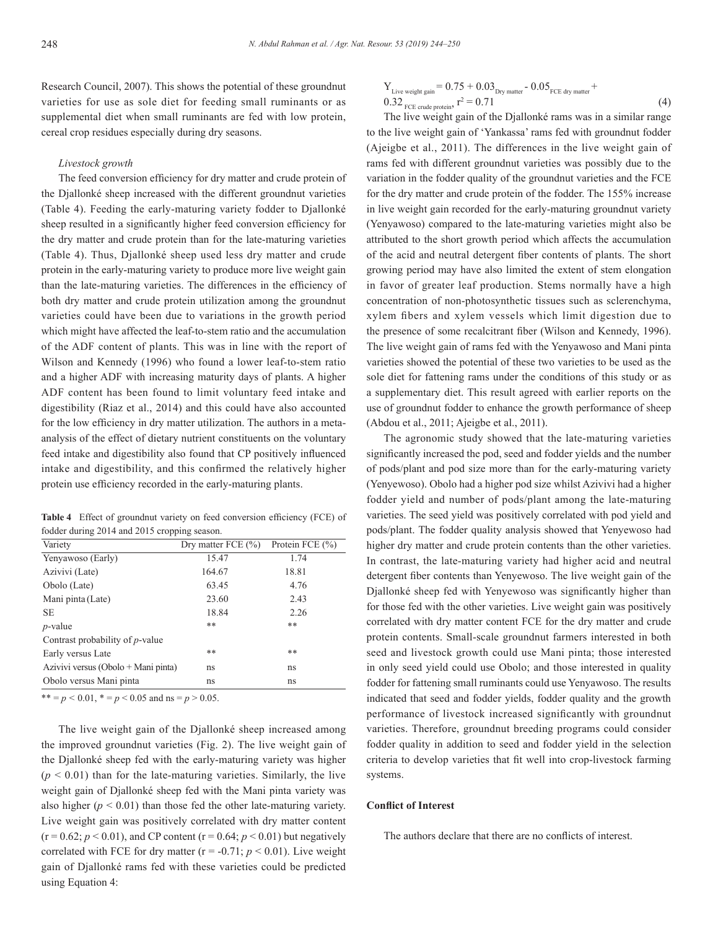Research Council, 2007). This shows the potential of these groundnut varieties for use as sole diet for feeding small ruminants or as supplemental diet when small ruminants are fed with low protein, cereal crop residues especially during dry seasons.

#### *Livestock growth*

The feed conversion efficiency for dry matter and crude protein of the Djallonké sheep increased with the different groundnut varieties (Table 4). Feeding the early-maturing variety fodder to Djallonké sheep resulted in a significantly higher feed conversion efficiency for the dry matter and crude protein than for the late-maturing varieties (Table 4). Thus, Djallonké sheep used less dry matter and crude protein in the early-maturing variety to produce more live weight gain than the late-maturing varieties. The differences in the efficiency of both dry matter and crude protein utilization among the groundnut varieties could have been due to variations in the growth period which might have affected the leaf-to-stem ratio and the accumulation of the ADF content of plants. This was in line with the report of Wilson and Kennedy (1996) who found a lower leaf-to-stem ratio and a higher ADF with increasing maturity days of plants. A higher ADF content has been found to limit voluntary feed intake and digestibility (Riaz et al., 2014) and this could have also accounted for the low efficiency in dry matter utilization. The authors in a metaanalysis of the effect of dietary nutrient constituents on the voluntary feed intake and digestibility also found that CP positively influenced intake and digestibility, and this confirmed the relatively higher protein use efficiency recorded in the early-maturing plants.

**Table 4** Effect of groundnut variety on feed conversion efficiency (FCE) of fodder during 2014 and 2015 cropping season.

| Variety                                 | Dry matter FCE $(\% )$ | Protein FCE (%) |
|-----------------------------------------|------------------------|-----------------|
| Yenyawoso (Early)                       | 15.47                  | 1.74            |
| Azivivi (Late)                          | 164.67                 | 18.81           |
| Obolo (Late)                            | 63.45                  | 4.76            |
| Mani pinta (Late)                       | 23.60                  | 2.43            |
| <b>SE</b>                               | 18.84                  | 2.26            |
| $p$ -value                              | **                     | **              |
| Contrast probability of <i>p</i> -value |                        |                 |
| Early versus Late                       | **                     | **              |
| Azivivi versus (Obolo + Mani pinta)     | ns                     | ns              |
| Obolo versus Mani pinta                 | ns                     | ns              |

\*\* =  $p$  < 0.01, \* =  $p$  < 0.05 and ns =  $p$  > 0.05.

The live weight gain of the Djallonké sheep increased among the improved groundnut varieties (Fig. 2). The live weight gain of the Djallonké sheep fed with the early-maturing variety was higher  $(p < 0.01)$  than for the late-maturing varieties. Similarly, the live weight gain of Djallonké sheep fed with the Mani pinta variety was also higher  $(p < 0.01)$  than those fed the other late-maturing variety. Live weight gain was positively correlated with dry matter content  $(r = 0.62; p < 0.01)$ , and CP content  $(r = 0.64; p < 0.01)$  but negatively correlated with FCE for dry matter ( $r = -0.71$ ;  $p < 0.01$ ). Live weight gain of Djallonké rams fed with these varieties could be predicted using Equation 4:

$$
Y_{\text{Live weight gain}} = 0.75 + 0.03_{\text{Dry matter}} - 0.05_{\text{FCE dry matter}} + 0.32_{\text{FCE crude protein}}, \quad r^2 = 0.71 \tag{4}
$$

The live weight gain of the Djallonké rams was in a similar range to the live weight gain of 'Yankassa' rams fed with groundnut fodder (Ajeigbe et al., 2011). The differences in the live weight gain of rams fed with different groundnut varieties was possibly due to the variation in the fodder quality of the groundnut varieties and the FCE for the dry matter and crude protein of the fodder. The 155% increase in live weight gain recorded for the early-maturing groundnut variety (Yenyawoso) compared to the late-maturing varieties might also be attributed to the short growth period which affects the accumulation of the acid and neutral detergent fiber contents of plants. The short growing period may have also limited the extent of stem elongation in favor of greater leaf production. Stems normally have a high concentration of non-photosynthetic tissues such as sclerenchyma, xylem fibers and xylem vessels which limit digestion due to the presence of some recalcitrant fiber (Wilson and Kennedy, 1996). The live weight gain of rams fed with the Yenyawoso and Mani pinta varieties showed the potential of these two varieties to be used as the sole diet for fattening rams under the conditions of this study or as a supplementary diet. This result agreed with earlier reports on the use of groundnut fodder to enhance the growth performance of sheep (Abdou et al., 2011; Ajeigbe et al., 2011).

The agronomic study showed that the late-maturing varieties significantly increased the pod, seed and fodder yields and the number of pods/plant and pod size more than for the early-maturing variety (Yenyewoso). Obolo had a higher pod size whilst Azivivi had a higher fodder yield and number of pods/plant among the late-maturing varieties. The seed yield was positively correlated with pod yield and pods/plant. The fodder quality analysis showed that Yenyewoso had higher dry matter and crude protein contents than the other varieties. In contrast, the late-maturing variety had higher acid and neutral detergent fiber contents than Yenyewoso. The live weight gain of the Djallonké sheep fed with Yenyewoso was significantly higher than for those fed with the other varieties. Live weight gain was positively correlated with dry matter content FCE for the dry matter and crude protein contents. Small-scale groundnut farmers interested in both seed and livestock growth could use Mani pinta; those interested in only seed yield could use Obolo; and those interested in quality fodder for fattening small ruminants could use Yenyawoso. The results indicated that seed and fodder yields, fodder quality and the growth performance of livestock increased significantly with groundnut varieties. Therefore, groundnut breeding programs could consider fodder quality in addition to seed and fodder yield in the selection criteria to develop varieties that fit well into crop-livestock farming systems.

# **Conflict of Interest**

The authors declare that there are no conflicts of interest.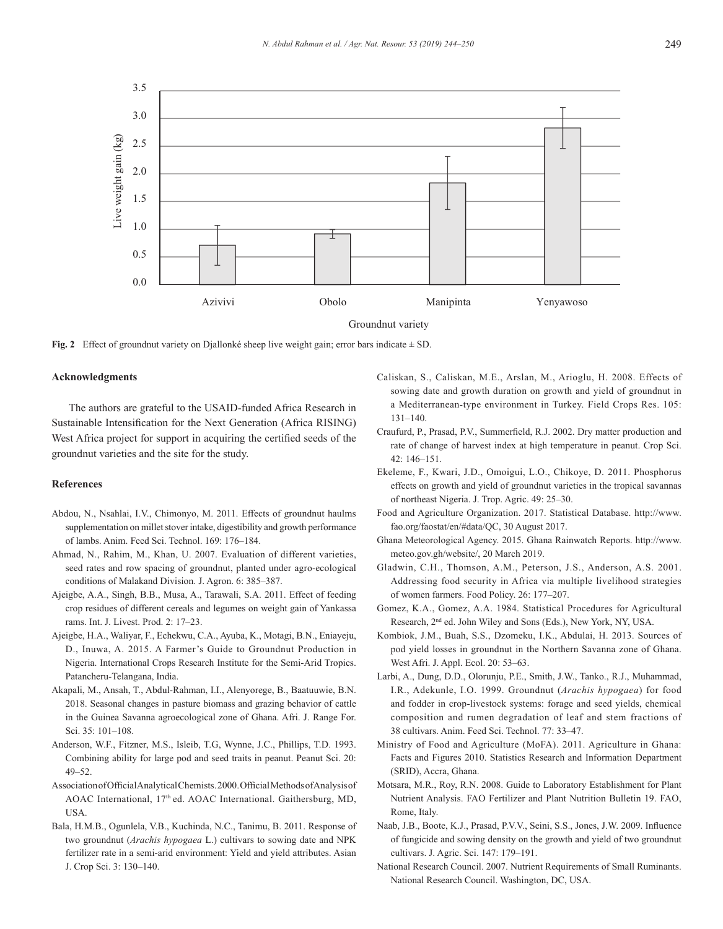

**Fig. 2** Effect of groundnut variety on Djallonké sheep live weight gain; error bars indicate  $\pm$  SD.

#### **Acknowledgments**

The authors are grateful to the USAID-funded Africa Research in Sustainable Intensification for the Next Generation (Africa RISING) West Africa project for support in acquiring the certified seeds of the groundnut varieties and the site for the study.

# **References**

- Abdou, N., Nsahlai, I.V., Chimonyo, M. 2011. Effects of groundnut haulms supplementation on millet stover intake, digestibility and growth performance of lambs. Anim. Feed Sci. Technol. 169: 176–184.
- Ahmad, N., Rahim, M., Khan, U. 2007. Evaluation of different varieties, seed rates and row spacing of groundnut, planted under agro-ecological conditions of Malakand Division. J. Agron. 6: 385–387.
- Ajeigbe, A.A., Singh, B.B., Musa, A., Tarawali, S.A. 2011. Effect of feeding crop residues of different cereals and legumes on weight gain of Yankassa rams. Int. J. Livest. Prod. 2: 17–23.
- Ajeigbe, H.A., Waliyar, F., Echekwu, C.A., Ayuba, K., Motagi, B.N., Eniayeju, D., Inuwa, A. 2015. A Farmer's Guide to Groundnut Production in Nigeria. International Crops Research Institute for the Semi-Arid Tropics. Patancheru-Telangana, India.
- Akapali, M., Ansah, T., Abdul-Rahman, I.I., Alenyorege, B., Baatuuwie, B.N. 2018. Seasonal changes in pasture biomass and grazing behavior of cattle in the Guinea Savanna agroecological zone of Ghana. Afri. J. Range For. Sci. 35: 101–108.
- Anderson, W.F., Fitzner, M.S., Isleib, T.G, Wynne, J.C., Phillips, T.D. 1993. Combining ability for large pod and seed traits in peanut. Peanut Sci. 20: 49–52.
- Association of Official Analytical Chemists. 2000. Official Methods of Analysis of AOAC International, 17<sup>th</sup> ed. AOAC International. Gaithersburg, MD, USA.
- Bala, H.M.B., Ogunlela, V.B., Kuchinda, N.C., Tanimu, B. 2011. Response of two groundnut (*Arachis hypogaea* L.) cultivars to sowing date and NPK fertilizer rate in a semi-arid environment: Yield and yield attributes. Asian J. Crop Sci. 3: 130–140.
- Caliskan, S., Caliskan, M.E., Arslan, M., Arioglu, H. 2008. Effects of sowing date and growth duration on growth and yield of groundnut in a Mediterranean-type environment in Turkey. Field Crops Res. 105: 131–140.
- Craufurd, P., Prasad, P.V., Summerfield, R.J. 2002. Dry matter production and rate of change of harvest index at high temperature in peanut. Crop Sci. 42: 146–151.
- Ekeleme, F., Kwari, J.D., Omoigui, L.O., Chikoye, D. 2011. Phosphorus effects on growth and yield of groundnut varieties in the tropical savannas of northeast Nigeria. J. Trop. Agric. 49: 25–30.
- Food and Agriculture Organization. 2017. Statistical Database. http://www. fao.org/faostat/en/#data/QC, 30 August 2017.
- Ghana Meteorological Agency. 2015. Ghana Rainwatch Reports. http://www. meteo.gov.gh/website/, 20 March 2019.
- Gladwin, C.H., Thomson, A.M., Peterson, J.S., Anderson, A.S. 2001. Addressing food security in Africa via multiple livelihood strategies of women farmers. Food Policy. 26: 177–207.
- Gomez, K.A., Gomez, A.A. 1984. Statistical Procedures for Agricultural Research,  $2<sup>nd</sup>$  ed. John Wiley and Sons (Eds.), New York, NY, USA.
- Kombiok, J.M., Buah, S.S., Dzomeku, I.K., Abdulai, H. 2013. Sources of pod yield losses in groundnut in the Northern Savanna zone of Ghana. West Afri. J. Appl. Ecol. 20: 53–63.
- Larbi, A., Dung, D.D., Olorunju, P.E., Smith, J.W., Tanko., R.J., Muhammad, I.R., Adekunle, I.O. 1999. Groundnut (*Arachis hypogaea*) for food and fodder in crop-livestock systems: forage and seed yields, chemical composition and rumen degradation of leaf and stem fractions of 38 cultivars. Anim. Feed Sci. Technol. 77: 33–47.
- Ministry of Food and Agriculture (MoFA). 2011. Agriculture in Ghana: Facts and Figures 2010. Statistics Research and Information Department (SRID), Accra, Ghana.
- Motsara, M.R., Roy, R.N. 2008. Guide to Laboratory Establishment for Plant Nutrient Analysis. FAO Fertilizer and Plant Nutrition Bulletin 19. FAO, Rome, Italy.
- Naab, J.B., Boote, K.J., Prasad, P.V.V., Seini, S.S., Jones, J.W. 2009. Influence of fungicide and sowing density on the growth and yield of two groundnut cultivars. J. Agric. Sci. 147: 179–191.
- National Research Council. 2007. Nutrient Requirements of Small Ruminants. National Research Council. Washington, DC, USA.